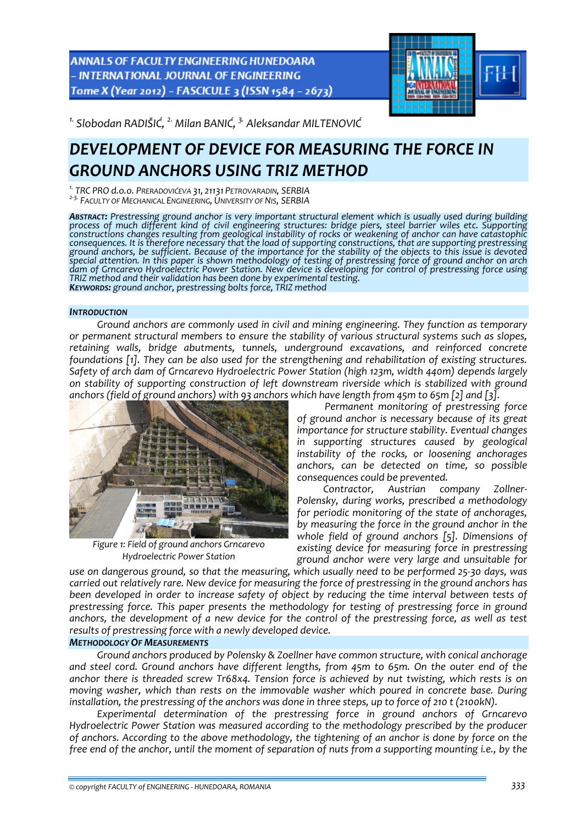ANNALS OF FACULTY ENGINEERING HUNEDOARA - INTERNATIONAL JOURNAL OF ENGINEERING Tome X (Year 2012) - FASCICULE 3 (ISSN 1584 - 2673)



*1. Slobodan RADIŠIĆ, 2. Milan BANIĆ, 3. Aleksandar MILTENOVIĆ* 

# *DEVELOPMENT OF DEVICE FOR MEASURING THE FORCE IN GROUND ANCHORS USING TRIZ METHOD*

<sup>1.</sup> TRC PRO d.o.o. Preradovićeva 31, 21131 PETROVARADIN, SERBIA<br><sup>2-3.</sup> Faculty of Mechanical Engineering, University of Nis, SERBIA

*ABSTRACT: Prestressing ground anchor is very important structural element which is usually used during building* process of much different kind of civil engineering structures: bridge piers, steel barrier wiles etc. Supporting<br>constructions changes resulting from geological instability of rocks or weakening of anchor can have catasto consequences. It is therefore necessary that the load of supporting constructions, that are supporting prestressing<br>ground anchors, be sufficient. Because of the importance for the stability of the objects to this issue is special attention. In this paper is shown methodology of testing of prestressing force of ground anchor on arch *dam of Grncarevo Hydroelectric Power Station. New device is developing for control of prestressing force using* TRIZ method and their validation has been done by experimental testing.<br> **KEYWORDS:** ground anchor, prestressing bolts force, TRIZ method

## *INTRODUCTION*

*Ground anchors are commonly used in civil and mining engineering. They function as temporary or permanent structural members to ensure the stability of various structural systems such as slopes, retaining walls, bridge abutments, tunnels, underground excavations, and reinforced concrete foundations [1]. They can be also used for the strengthening and rehabilitation of existing structures. Safety of arch dam of Grncarevo Hydroelectric Power Station (high 123m, width 440m) depends largely on stability of supporting construction of left downstream riverside which is stabilized with ground anchors (field of ground anchors) with 93 anchors which have length from 45m to 65m [2] and [3].*



*Figure 1: Field of ground anchors Grncarevo Hydroelectric Power Station*

*Permanent monitoring of prestressing force of ground anchor is necessary because of its great importance for structure stability. Eventual changes in supporting structures caused by geological instability of the rocks, or loosening anchorages anchors, can be detected on time, so possible consequences could be prevented.*

*Contractor, Austrian company Zollner‐ Polensky, during works, prescribed a methodology for periodic monitoring of the state of anchorages, by measuring the force in the ground anchor in the whole field of ground anchors [5]. Dimensions of existing device for measuring force in prestressing ground anchor were very large and unsuitable for*

use on dangerous ground, so that the measuring, which usually need to be performed 25-30 days, was *carried out relatively rare. New device for measuring the force of prestressing in the ground anchors has been developed in order to increase safety of object by reducing the time interval between tests of prestressing force. This paper presents the methodology for testing of prestressing force in ground* anchors, the development of a new device for the control of the prestressing force, as well as test *results of prestressing force with a newly developed device.*

# *METHODOLOGY OF MEASUREMENTS*

*Ground anchors produced by Polensky & Zoellner have common structure, with conical anchorage and steel cord. Ground anchors have different lengths, from 45m to 65m. On the outer end of the anchor there is threaded screw Tr68x4. Tension force is achieved by nut twisting, which rests is on moving washer, which than rests on the immovable washer which poured in concrete base. During* installation, the prestressing of the anchors was done in three steps, up to force of 210 t (2100kN).

*Experimental determination of the prestressing force in ground anchors of Grncarevo Hydroelectric Power Station was measured according to the methodology prescribed by the producer* of anchors. According to the above methodology, the tightening of an anchor is done by force on the free end of the anchor, until the moment of separation of nuts from a supporting mounting i.e., by the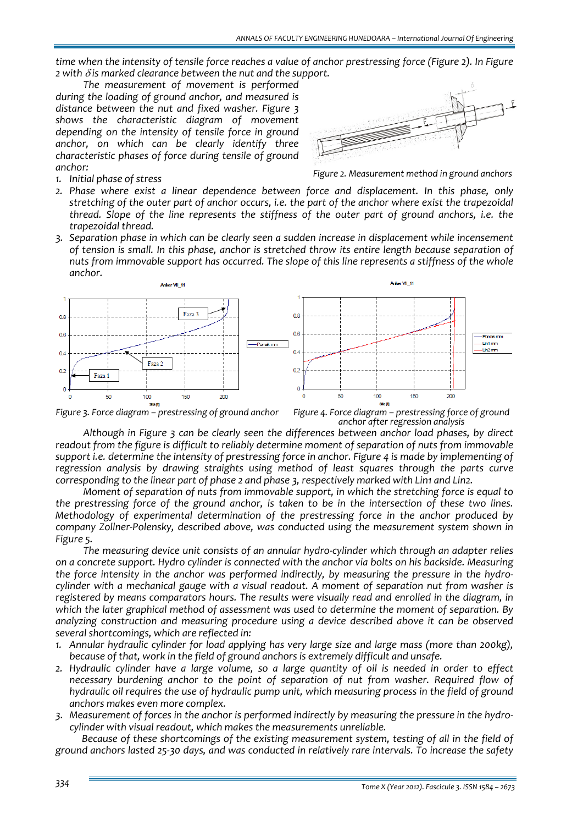time when the intensity of tensile force reaches a value of anchor prestressing force (Figure 2). In Figure  $2$  with  $\delta$  *is* marked clearance between the nut and the support.

*The measurement of movement is performed during the loading of ground anchor, and measured is distance between the nut and fixed washer. Figure 3 shows the characteristic diagram of movement depending on the intensity of tensile force in ground anchor, on which can be clearly identify three characteristic phases of force during tensile of ground anchor:*



*1. Initial phase of stress*

*Figure 2. Measurement method in ground anchors*

- *2. Phase where exist a linear dependence between force and displacement. In this phase, only* stretching of the outer part of anchor occurs, i.e. the part of the anchor where exist the trapezoidal *thread. Slope of the line represents the stiffness of the outer part of ground anchors, i.e. the trapezoidal thread.*
- *3. Separation phase in which can be clearly seen a sudden increase in displacement while incensement of tension is small. In this phase, anchor is stretched throw its entire length because separation of nuts from immovable support has occurred. The slope of this line represents a stiffness of the whole anchor.*



Figure 3. Force diagram – prestressing of ground anchor Figure 4. Force diagram – prestressing force of ground *anchor after regression analysis*

*Although in Figure 3 can be clearly seen the differences between anchor load phases, by direct readout from the figure is difficult to reliably determine moment of separation of nuts from immovable support i.e. determine the intensity of prestressing force in anchor. Figure 4 is made by implementing of regression analysis by drawing straights using method of least squares through the parts curve corresponding to the linear part of phase 2 and phase 3, respectively marked with Lin1 and Lin2.*

*Moment of separation of nuts from immovable support, in which the stretching force is equal to* the prestressing force of the ground anchor, is taken to be in the intersection of these two lines. *Methodology of experimental determination of the prestressing force in the anchor produced by company Zollner‐Polensky, described above, was conducted using the measurement system shown in Figure 5.*

*The measuring device unit consists of an annular hydro‐cylinder which through an adapter relies on a concrete support. Hydro cylinder is connected with the anchor via bolts on his backside. Measuring the force intensity in the anchor was performed indirectly, by measuring the pressure in the hydro‐ cylinder with a mechanical gauge with a visual readout. A moment of separation nut from washer is registered by means comparators hours. The results were visually read and enrolled in the diagram, in which the later graphical method of assessment was used to determine the moment of separation. By analyzing construction and measuring procedure using a device described above it can be observed several shortcomings, which are reflected in:*

- *1. Annular hydraulic cylinder for load applying has very large size and large mass (more than 200kg), because of that, work in the field of ground anchors is extremely difficult and unsafe.*
- 2. Hydraulic cylinder have a large volume, so a large quantity of oil is needed in order to effect *necessary burdening anchor to the point of separation of nut from washer. Required flow of hydraulic oil requires the use of hydraulic pump unit, which measuring process in the field of ground anchors makes even more complex.*
- 3. Measurement of forces in the anchor is performed indirectly by measuring the pressure in the hydro*cylinder with visual readout, which makes the measurements unreliable.*

*Because of these shortcomings of the existing measurement system, testing of all in the field of* ground anchors lasted 25-30 days, and was conducted in relatively rare intervals. To increase the safety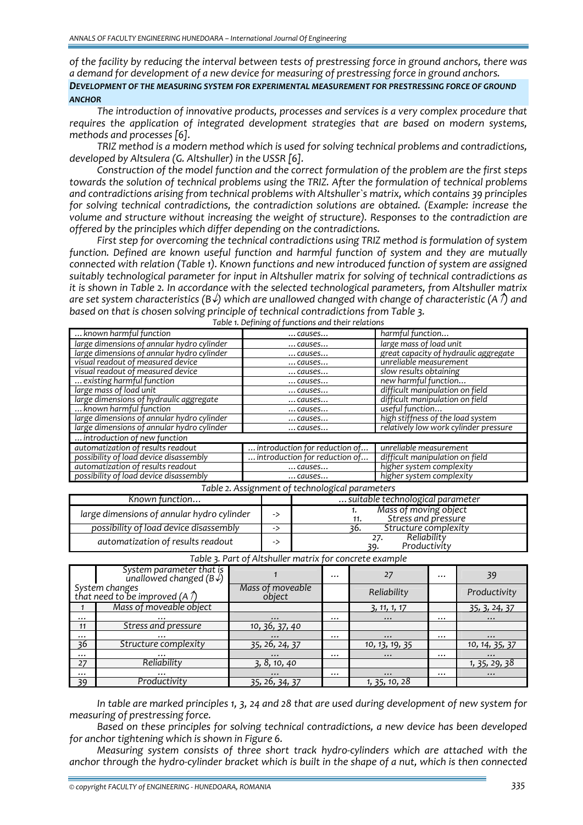*of the facility by reducing the interval between tests of prestressing force in ground anchors, there was a demand for development of a new device for measuring of prestressing force in ground anchors. DEVELOPMENT OF THE MEASURING SYSTEM FOR EXPERIMENTAL MEASUREMENT FOR PRESTRESSING FORCE OF GROUND ANCHOR*

*The introduction of innovative products, processes and services is a very complex procedure that requires the application of integrated development strategies that are based on modern systems, methods and processes [6].*

*TRIZ method is a modern method which is used for solving technical problems and contradictions, developed by Altsulera (G. Altshuller) in the USSR [6].*

*Construction of the model function and the correct formulation of the problem are the first steps towards the solution of technical problems using the TRIZ. After the formulation of technical problems and contradictions arising from technical problems with Altshuller`s matrix, which contains 39 principles for solving technical contradictions, the contradiction solutions are obtained. (Example: increase the volume and structure without increasing the weight of structure). Responses to the contradiction are offered by the principles which differ depending on the contradictions.*

*First step for overcoming the technical contradictions using TRIZ method is formulation of system function. Defined are known useful function and harmful function of system and they are mutually connected with relation (Table 1). Known functions and new introduced function of system are assigned suitably technological parameter for input in Altshuller matrix for solving of technical contradictions as it is shown in Table 2. In accordance with the selected technological parameters, from Altshuller matrix are set system characteristics (B*↓*) which are unallowed changed with change of characteristic (A*↑*) and based on that is chosen solving principle of technical contradictions from Table 3. Table 1. Defining of functions and their relations*

|                                            | <u>.</u>                      |                                       |
|--------------------------------------------|-------------------------------|---------------------------------------|
| known harmful function                     | causes                        | harmful function                      |
| large dimensions of annular hydro cylinder | causes                        | large mass of load unit               |
| large dimensions of annular hydro cylinder | causes                        | great capacity of hydraulic aggregate |
| visual readout of measured device          | $$ causes                     | unreliable measurement                |
| visual readout of measured device          | $$ causes                     | slow results obtaining                |
| existing harmful function                  | $$ causes                     | new harmful function                  |
| large mass of load unit                    | causes                        | difficult manipulation on field       |
| large dimensions of hydraulic aggregate    | causes                        | difficult manipulation on field       |
| known harmful function                     | causes                        | useful function                       |
| large dimensions of annular hydro cylinder | causes                        | high stiffness of the load system     |
| large dimensions of annular hydro cylinder | $$ causes                     | relatively low work cylinder pressure |
| introduction of new function               |                               |                                       |
| automatization of results readout          | introduction for reduction of | unreliable measurement                |
| possibility of load device disassembly     | introduction for reduction of | difficult manipulation on field       |
| automatization of results readout          | $$ causes                     | higher system complexity              |
| possibility of load device disassembly     | causes                        | higher system complexity              |

| Table 2. Assignment of technological parameters |  |
|-------------------------------------------------|--|
|                                                 |  |

| Known function                             |    | suitable technological parameter             |  |  |
|--------------------------------------------|----|----------------------------------------------|--|--|
| large dimensions of annular hydro cylinder | -> | Mass of moving object<br>Stress and pressure |  |  |
| possibility of load device disassembly     | -> | Structure complexity<br>36.                  |  |  |
| automatization of results readout          | -> | Reliability<br>27.<br>Productivity           |  |  |

|          | System parameter that is<br>unallowed changed ( $B\sqrt{ }$ )  |                             | $\cdots$       |               | $\cdots$ | 39                    |  |
|----------|----------------------------------------------------------------|-----------------------------|----------------|---------------|----------|-----------------------|--|
|          | System changes<br>that need to be improved (A $\hat{\gamma}$ ) | Mass of moveable<br>object  | Reliability    |               |          | Productivity          |  |
|          | Mass of moveable object                                        |                             |                | 3, 11, 1, 17  |          | 35, 3, 24, 37         |  |
| $\cdots$ | $\cdots$                                                       | $\cdots$                    | $\cdots$       | $\cdots$      | $\cdots$ | $\cdots$              |  |
| 11       | Stress and pressure                                            | 10, 36, 37, 40              |                |               |          |                       |  |
| $\cdots$ | $\cdots$                                                       | $\cdots$                    | $\cdots$       | $\cdots$      | $\cdots$ | $\cdots$              |  |
| 36       | Structure complexity                                           | 35, 26, 24, 37              | 10, 13, 19, 35 |               |          | 10, 14, 35, 37        |  |
| $\cdots$ | $\cdots$                                                       | $\cdots$                    | $\cdots$       | $\cdots$      |          | $\cdots$              |  |
| 27       | Reliability                                                    | $\overline{3, 8, 10, 40}$   |                |               |          | <u>1, 35, 29, 38 </u> |  |
| $\cdots$ | $\cdots$                                                       | $\cdots$                    | $\cdots$       | $\cdots$      | $\cdots$ | $\cdots$              |  |
| - 39     | Productivity                                                   | $\overline{35, 26, 34, 37}$ |                | 1, 35, 10, 28 |          |                       |  |

*Table 3. Part of Altshuller matrix for concrete example*

In table are marked principles 1, 3, 24 and 28 that are used during development of new system for *measuring of prestressing force.*

*Based on these principles for solving technical contradictions, a new device has been developed for anchor tightening which is shown in Figure 6.*

*Measuring system consists of three short track hydro‐cylinders which are attached with the* anchor through the hydro-cylinder bracket which is built in the shape of a nut, which is then connected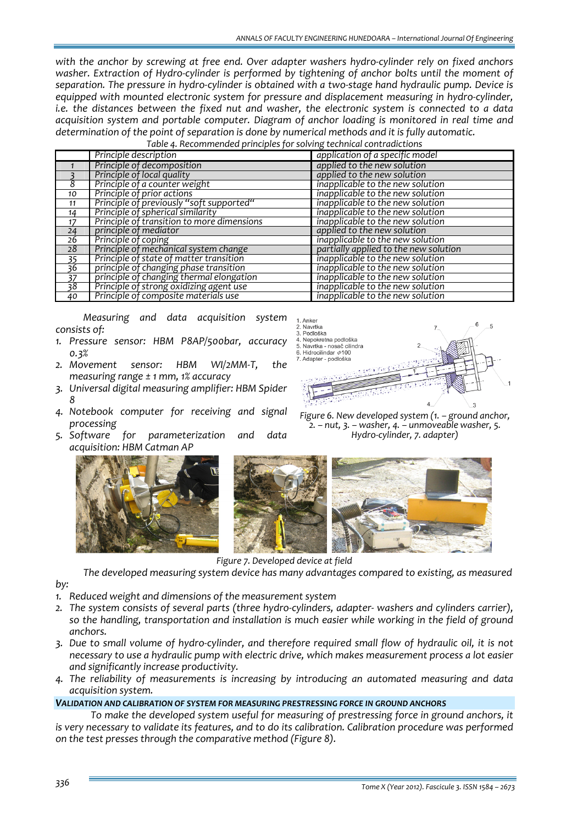*with the anchor by screwing at free end. Over adapter washers hydro‐cylinder rely on fixed anchors washer. Extraction of Hydro‐cylinder is performed by tightening of anchor bolts until the moment of* separation. The pressure in hydro-cylinder is obtained with a two-stage hand hydraulic pump. Device is *equipped with mounted electronic system for pressure and displacement measuring in hydro‐cylinder, i.e. the distances between the fixed nut and washer, the electronic system is connected to a data acquisition system and portable computer. Diagram of anchor loading is monitored in real time and determination of the point of separation is done by numerical methods and it is fully automatic.*

*Table 4. Recommended principles for solving technical contradictions*

|                 | Principle description                      | application of a specific model       |
|-----------------|--------------------------------------------|---------------------------------------|
|                 | Principle of decomposition                 | applied to the new solution           |
|                 | Principle of local quality                 | applied to the new solution           |
| 8               | Principle of a counter weight              | inapplicable to the new solution      |
| 10              | Principle of prior actions                 | inapplicable to the new solution      |
| 11              | Principle of previously "soft supported"   | inapplicable to the new solution      |
| 14              | Principle of spherical similarity          | inapplicable to the new solution      |
| 17              | Principle of transition to more dimensions | inapplicable to the new solution      |
| 24              | principle of mediator                      | applied to the new solution           |
| 26              | Principle of coping                        | inapplicable to the new solution      |
| 28              | Principle of mechanical system change      | partially applied to the new solution |
| 35              | Principle of state of matter transition    | inapplicable to the new solution      |
| 36              | principle of changing phase transition     | inapplicable to the new solution      |
| $\frac{37}{38}$ | principle of changing thermal elongation   | inapplicable to the new solution      |
|                 | Principle of strong oxidizing agent use    | inapplicable to the new solution      |
| 40              | Principle of composite materials use       | inapplicable to the new solution      |

*Measuring and data acquisition system consists of:*

- *1. Pressure sensor: HBM P8AP/500bar, accuracy 0.3%*
- *2. Movement sensor: HBM WI/2MM‐T, the measuring range ± 1 mm, 1% accuracy*
- *3. Universal digital measuring amplifier: HBM Spider 8*
- *4. Notebook computer for receiving and signal processing*
- *5. Software for parameterization and data acquisition: HBM Catman AP*





*Figure 6. New developed system (1. – ground anchor, 2. – nut, 3. – washer, 4. – unmoveable washer, 5. Hydro‐cylinder, 7. adapter)*



*Figure 7. Developed device at field*

*The developed measuring system device has many advantages compared to existing, as measured*

*by:*

- *1. Reduced weight and dimensions of the measurement system*
- *2. The system consists of several parts (three hydro‐cylinders, adapter‐ washers and cylinders carrier), so the handling, transportation and installation is much easier while working in the field of ground anchors.*
- 3. Due to small volume of hydro-cylinder, and therefore required small flow of hydraulic oil, it is not *necessary to use a hydraulic pump with electric drive, which makes measurement process a lot easier and significantly increase productivity.*
- *4. The reliability of measurements is increasing by introducing an automated measuring and data acquisition system.*

### *VALIDATION AND CALIBRATION OF SYSTEM FOR MEASURING PRESTRESSING FORCE IN GROUND ANCHORS*

*To make the developed system useful for measuring of prestressing force in ground anchors, it is very necessary to validate its features, and to do its calibration. Calibration procedure was performed on the test presses through the comparative method (Figure 8).*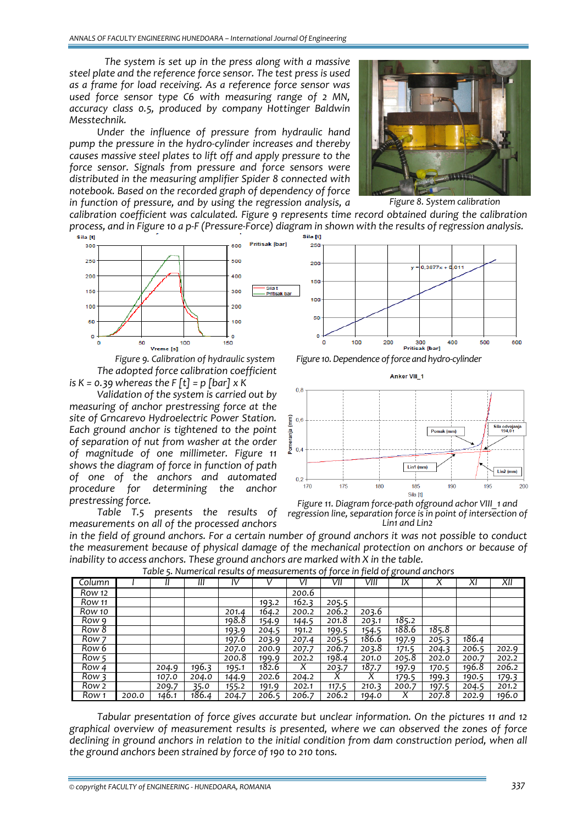*The system is set up in the press along with a massive steel plate and the reference force sensor. The test press is used as a frame for load receiving. As a reference force sensor was used force sensor type C6 with measuring range of 2 MN, accuracy class 0.5, produced by company Hottinger Baldwin Messtechnik.* 

*Under the influence of pressure from hydraulic hand pump the pressure in the hydro‐cylinder increases and thereby causes massive steel plates to lift off and apply pressure to the force sensor. Signals from pressure and force sensors were distributed in the measuring amplifier Spider 8 connected with notebook. Based on the recorded graph of dependency of force in function of pressure, and by using the regression analysis, a*

*calibration coefficient was calculated. Figure 9 represents time record obtained during the calibration* process, and in Figure 10 a p-F (Pressure-Force) diagram in shown with the results of regression analysis.<br>sila [t]



*The adopted force calibration coefficient is*  $K = 0.39$  *whereas the*  $F[t] = p$  *[bar]*  $x K$ 

*Validation of the system is carried out by measuring of anchor prestressing force at the site of Grncarevo Hydroelectric Power Station. Each ground anchor is tightened to the point of separation of nut from washer at the order of magnitude of one millimeter. Figure 11 shows the diagram of force in function of path of one of the anchors and automated procedure for determining the anchor prestressing force.*

*Table T.5 presents the results of measurements on all of the processed anchors*



*Figure 9. Calibration of hydraulic system Figure 10.Dependence offorce and hydro‐cylinder*







in the field of ground anchors. For a certain number of ground anchors it was not possible to conduct *the measurement because of physical damage of the mechanical protection on anchors or because of inability to access anchors. These ground anchors are marked with X in the table.*

| Column           |       |       | Ш     | IV    |       | VI    | VII            | VIII  | IX    |       | XI    | XII   |
|------------------|-------|-------|-------|-------|-------|-------|----------------|-------|-------|-------|-------|-------|
| Row 12           |       |       |       |       |       | 200.6 |                |       |       |       |       |       |
| Row 11           |       |       |       |       | 193.2 | 162.3 | 205.5          |       |       |       |       |       |
| Row 10           |       |       |       | 201.4 | 164.2 | 200.2 | 206.2          | 203.6 |       |       |       |       |
| Row 9            |       |       |       | 198.8 | 154.9 | 144.5 | 201.8          | 203.1 | 185.2 |       |       |       |
| Row 8            |       |       |       | 193.9 | 204.5 | 191.2 | <u> 199.5 </u> | 154.5 | 188.6 | 185.8 |       |       |
| Row <sub>7</sub> |       |       |       | 197.6 | 203.9 | 207.4 | 205.5          | 186.6 | 197.9 | 205.3 | 186.4 |       |
| Row 6            |       |       |       | 207.0 | 200.9 | 207.7 | 206.7          | 203.8 | 171.5 | 204.3 | 206.5 | 202.9 |
| Row <sub>5</sub> |       |       |       | 200.8 | 199.9 | 202.2 | 198.4          | 201.0 | 205.8 | 202.0 | 200.7 | 202.2 |
| Row 4            |       | 204.9 | 196.3 | 195.1 | 182.6 | X     | 203.7          | 187.7 | 197.9 | 170.5 | 196.8 | 206.2 |
| Row 3            |       | 107.0 | 204.0 | 144.9 | 202.6 | 204.2 | Х              | X     | 179.5 | 199.3 | 190.5 | 179.3 |
| Row 2            |       | 209.7 | 35.0  | 155.2 | 191.9 | 202.1 | 117.5          | 210.3 | 200.7 | 197.5 | 204.5 | 201.2 |
| Row <sub>1</sub> | 200.0 | 146.1 | 186.4 | 204.7 | 206.5 | 206.7 | 206.2          | 194.0 |       | 207.8 | 202.9 | 196.0 |

*Table 5. Numerical results of measurements of force in field of ground anchors*

*Tabular presentation of force gives accurate but unclear information. On the pictures 11 and 12 graphical overview of measurement results is presented, where we can observed the zones of force declining in ground anchors in relation to the initial condition from dam construction period, when all the ground anchors been strained by force of 190 to 210 tons.*